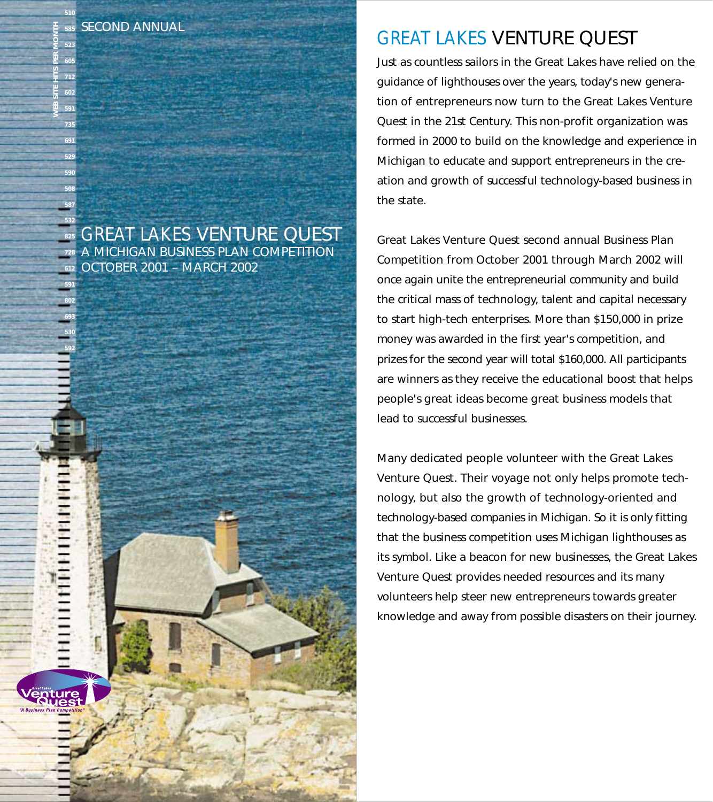### SECOND ANNUAL

GREAT LAKES VENTURE QUEST A MICHIGAN BUSINESS PLAN COMPETITION OCTOBER 2001 – MARCH 2002

# GREAT LAKES VENTURE QUEST

Just as countless sailors in the Great Lakes have relied on the guidance of lighthouses over the years, today's new generation of entrepreneurs now turn to the Great Lakes Venture Quest in the 21st Century. This non-profit organization was formed in 2000 to build on the knowledge and experience in Michigan to educate and support entrepreneurs in the creation and growth of successful technology-based business in the state.

Great Lakes Venture Quest second annual Business Plan Competition from October 2001 through March 2002 will once again unite the entrepreneurial community and build the critical mass of technology, talent and capital necessary to start high-tech enterprises. More than \$150,000 in prize money was awarded in the first year's competition, and prizes for the second year will total \$160,000. All participants are winners as they receive the educational boost that helps people's great ideas become great business models that lead to successful businesses.

Many dedicated people volunteer with the Great Lakes Venture Quest. Their voyage not only helps promote technology, but also the growth of technology-oriented and technology-based companies in Michigan. So it is only fitting that the business competition uses Michigan lighthouses as its symbol. Like a beacon for new businesses, the Great Lakes Venture Quest provides needed resources and its many volunteers help steer new entrepreneurs towards greater knowledge and away from possible disasters on their journey.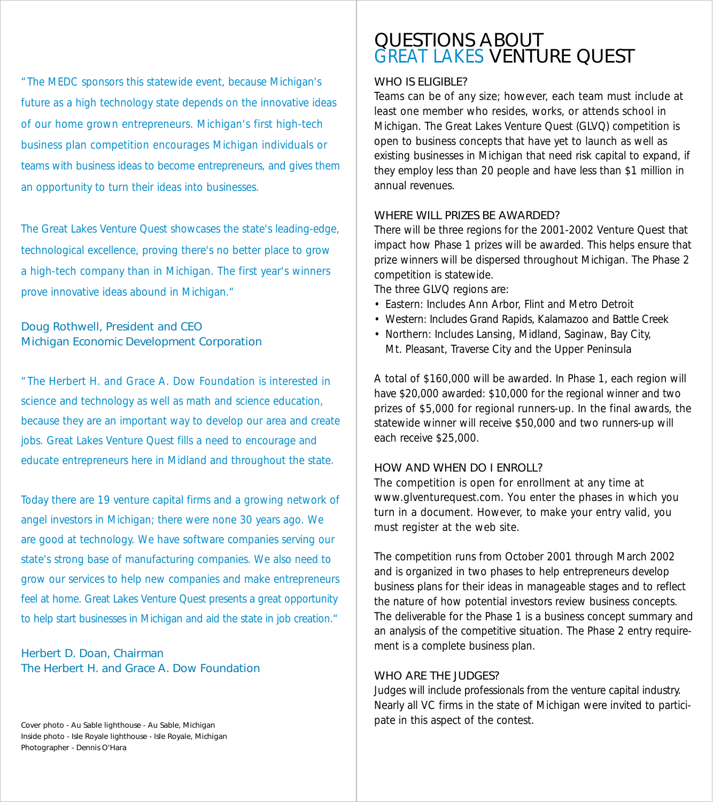"The MEDC sponsors this statewide event, because Michigan's future as a high technology state depends on the innovative ideas of our home grown entrepreneurs. Michigan's first high-tech business plan competition encourages Michigan individuals or teams with business ideas to become entrepreneurs, and gives them an opportunity to turn their ideas into businesses.

The Great Lakes Venture Quest showcases the state's leading-edge, technological excellence, proving there's no better place to grow a high-tech company than in Michigan. The first year's winners prove innovative ideas abound in Michigan."

#### Doug Rothwell, President and CEO Michigan Economic Development Corporation

"The Herbert H. and Grace A. Dow Foundation is interested in science and technology as well as math and science education, because they are an important way to develop our area and create jobs. Great Lakes Venture Quest fills a need to encourage and educate entrepreneurs here in Midland and throughout the state.

Today there are 19 venture capital firms and a growing network of angel investors in Michigan; there were none 30 years ago. We are good at technology. We have software companies serving our state's strong base of manufacturing companies. We also need to grow our services to help new companies and make entrepreneurs feel at home. Great Lakes Venture Quest presents a great opportunity to help start businesses in Michigan and aid the state in job creation."

Herbert D. Doan, Chairman The Herbert H. and Grace A. Dow Foundation

Cover photo - Au Sable lighthouse - Au Sable, Michigan Inside photo - Isle Royale lighthouse - Isle Royale, Michigan Photographer - Dennis O'Hara

# QUESTIONS ABOUT GREAT LAKES VENTURE QUEST

#### WHO IS ELIGIBLE?

Teams can be of any size; however, each team must include at least one member who resides, works, or attends school in Michigan. The Great Lakes Venture Quest (GLVQ) competition is open to business concepts that have yet to launch as well as existing businesses in Michigan that need risk capital to expand, if they employ less than 20 people and have less than \$1 million in annual revenues.

#### WHERE WILL PRIZES BE AWARDED?

There will be three regions for the 2001-2002 Venture Quest that impact how Phase 1 prizes will be awarded. This helps ensure that prize winners will be dispersed throughout Michigan. The Phase 2 competition is statewide.

The three GLVQ regions are:

- Eastern: Includes Ann Arbor, Flint and Metro Detroit
- Western: Includes Grand Rapids, Kalamazoo and Battle Creek
- Northern: Includes Lansing, Midland, Saginaw, Bay City, Mt. Pleasant, Traverse City and the Upper Peninsula

A total of \$160,000 will be awarded. In Phase 1, each region will have \$20,000 awarded: \$10,000 for the regional winner and two prizes of \$5,000 for regional runners-up. In the final awards, the statewide winner will receive \$50,000 and two runners-up will each receive \$25,000.

#### HOW AND WHEN DO I ENROLL?

The competition is open for enrollment at any time at www.glventurequest.com. You enter the phases in which you turn in a document. However, to make your entry valid, you must register at the web site.

The competition runs from October 2001 through March 2002 and is organized in two phases to help entrepreneurs develop business plans for their ideas in manageable stages and to reflect the nature of how potential investors review business concepts. The deliverable for the Phase 1 is a business concept summary and an analysis of the competitive situation. The Phase 2 entry requirement is a complete business plan.

#### WHO ARE THE JUDGES?

Judges will include professionals from the venture capital industry. Nearly all VC firms in the state of Michigan were invited to participate in this aspect of the contest.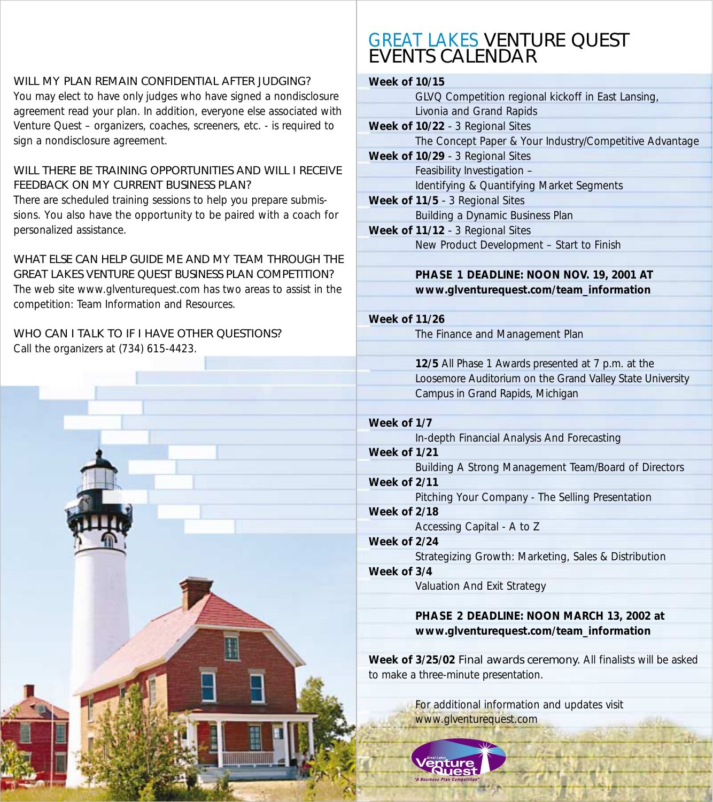## WILL MY PLAN REMAIN CONFIDENTIAL AFTER JUDGING?

You may elect to have only judges who have signed a nondisclosure agreement read your plan. In addition, everyone else associated with Venture Quest – organizers, coaches, screeners, etc. - is required to sign a nondisclosure agreement.

## WILL THERE BE TRAINING OPPORTUNITIES AND WILL LRECEIVE FEEDBACK ON MY CURRENT BUSINESS PLAN?

There are scheduled training sessions to help you prepare submissions. You also have the opportunity to be paired with a coach for personalized assistance.

WHAT FLSE CAN HELP GUIDE ME AND MY TEAM THROUGH THE GREAT LAKES VENTURE QUEST BUSINESS PLAN COMPETITION?

The web site www.glventurequest.com has two areas to assist in the competition: Team Information and Resources.

# WHO CAN I TALK TO IF I HAVE OTHER QUESTIONS?

Call the organizers at (734) 615-4423.



# GREAT LAKES VENTURE QUEST EVENTS CALENDAR

## **Week of 10/15**

| GLVQ Competition regional kickoff in East Lansing,      |
|---------------------------------------------------------|
| Livonia and Grand Rapids                                |
| Week of 10/22 - 3 Regional Sites                        |
| The Concept Paper & Your Industry/Competitive Advantage |
| Week of 10/29 - 3 Regional Sites                        |
| Feasibility Investigation -                             |
| Identifying & Quantifying Market Segments               |
| Week of 11/5 - 3 Regional Sites                         |
| Building a Dynamic Business Plan                        |
| Week of 11/12 - 3 Regional Sites                        |
| New Product Development - Start to Finish               |
|                                                         |

# **PHASE 1 DEADLINE: NOON NOV. 19, 2001 AT www.glventurequest.com/team\_information**

**Week of 11/26** 

The Finance and Management Plan

**12/5** All Phase 1 Awards presented at 7 p.m. at the Loosemore Auditorium on the Grand Valley State University Campus in Grand Rapids, Michigan

**Week of 1/7** In-depth Financial Analysis And Forecasting

# **Week of 1/21**

Building A Strong Management Team/Board of Directors

# **Week of 2/11**

Pitching Your Company - The Selling Presentation

**Week of 2/18**  Accessing Capital - A to Z

**Week of 2/24** Strategizing Growth: Marketing, Sales & Distribution

# **Week of 3/4**

Valuation And Exit Strategy

## **PHASE 2 DEADLINE: NOON MARCH 13, 2002 at www.glventurequest.com/team\_information**

**Week of 3/25/02** Final awards ceremony. All finalists will be asked to make a three-minute presentation.

> For additional information and updates visit www.glventurequest.com